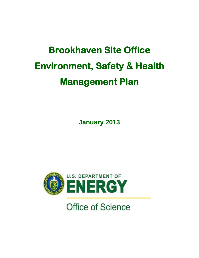# **Brookhaven Site Office Environment, Safety & Health Management Plan**

**January 2013** 



**Office of Science**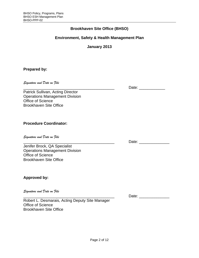## **Brookhaven Site Office (BHSO)**

# **Environment, Safety & Health Management Plan**

**January 2013** 

## **Prepared by:**

*Signature and Date on File* 

Patrick Sullivan, Acting Director Operations Management Division Office of Science Brookhaven Site Office

\_\_\_\_\_\_\_\_\_\_\_\_\_\_\_\_\_\_\_\_\_\_\_\_\_\_\_\_\_\_\_\_\_\_\_\_\_\_\_\_\_\_

## **Procedure Coordinator:**

*Signature and Date on File* 

\_\_\_\_\_\_\_\_\_\_\_\_\_\_\_\_\_\_\_\_\_\_\_\_\_\_\_\_\_\_\_\_\_\_\_\_\_\_\_\_\_\_ Jenifer Brock, QA Specialist Operations Management Division Office of Science Brookhaven Site Office

## **Approved by:**

*Signature and Date on File* 

Robert L. Desmarais, Acting Deputy Site Manager Office of Science Brookhaven Site Office

\_\_\_\_\_\_\_\_\_\_\_\_\_\_\_\_\_\_\_\_\_\_\_\_\_\_\_\_\_\_\_\_\_\_\_\_\_\_\_\_\_\_

Date: \_\_\_\_\_\_\_\_\_\_\_\_

Date:  $\Box$ 

Date: \_\_\_\_\_\_\_\_\_\_\_\_\_\_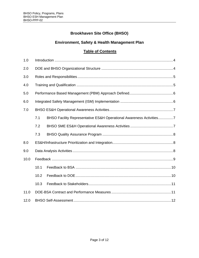# **Brookhaven Site Office (BHSO)**

# **Environment, Safety & Health Management Plan**

# **Table of Contents**

| 1.0  |      |                                                                     |
|------|------|---------------------------------------------------------------------|
| 2.0  |      |                                                                     |
| 3.0  |      |                                                                     |
| 4.0  |      |                                                                     |
| 5.0  |      |                                                                     |
| 6.0  |      |                                                                     |
| 7.0  |      |                                                                     |
|      | 7.1  | BHSO Facility Representative ES&H Operational Awareness Activities7 |
|      | 7.2  |                                                                     |
|      | 7.3  |                                                                     |
| 8.0  |      |                                                                     |
| 9.0  |      |                                                                     |
| 10.0 |      |                                                                     |
|      | 10.1 |                                                                     |
|      | 10.2 |                                                                     |
|      | 10.3 |                                                                     |
| 11.0 |      |                                                                     |
| 12.0 |      |                                                                     |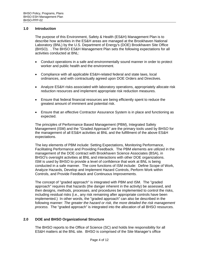#### **1.0 Introduction**

The purpose of this Environment, Safety & Health (ES&H) Management Plan is to describe how activities in the ES&H areas are managed at the Brookhaven National Laboratory (BNL) by the U.S. Department of Energy's (DOE) Brookhaven Site Office (BHSO). . The BHSO ES&H Management Plan sets the following expectations for all activities conducted at BNL:

- Conduct operations in a safe and environmentally sound manner in order to protect worker and public health and the environment.
- Compliance with all applicable ES&H-related federal and state laws, local ordinances, and with contractually agreed upon DOE Orders and Directives.
- Analyze ES&H risks associated with laboratory operations, appropriately allocate risk reduction resources and implement appropriate risk reduction measures.
- Ensure that federal financial resources are being efficiently spent to reduce the greatest amount of imminent and potential risk.
- Ensure that an effective Contractor Assurance System is in place and functioning as expected.

The principles of Performance Based Management (PBM), Integrated Safety Management (ISM) and the "Graded Approach" are the primary tools used by BHSO for the management of all ES&H activities at BNL and the fulfillment of the above ES&H expectations.

The key elements of PBM include: Setting Expectations, Monitoring Performance, Facilitating Performance and Providing Feedback. The PBM elements are utilized in the management of the DOE contract with Brookhaven Science Associates (BSA), in BHSO's oversight activities at BNL and interactions with other DOE organizations. ISM is used by BHSO to provide a level of confidence that work at BNL is being conducted in a safe manner. The core functions of ISM include: Define Scope of Work, Analyze Hazards, Develop and Implement Hazard Controls, Perform Work within Controls, and Provide Feedback and Continuous Improvements.

The concept of "graded approach" is integrated with PBM and ISM. The "graded approach" requires that hazards (the danger inherent in the activity) be assessed, and then designs, methods, processes, and procedures be implemented to control the risks, including residual risks (i.e., any risk remaining after appropriate controls have been implemented.) In other words, the "graded approach" can also be described in the following manner: *The greater the hazard or risk, the more detailed the risk management process.* The "graded approach" is integrated into the allocation of all BHSO resources.

#### **2.0 DOE and BHSO Organizational Structure**

The BHSO reports to the Office of Science (SC) and holds line responsibility for all ES&H matters at the BNL site. BHSO is comprised of the Site Manager's office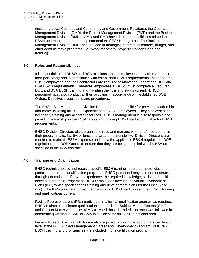(including Legal Counsel, and Community and Government Relations), the Operations Management Division (OMD), the Project Management Division (PMD) and the Business Management Division (BMD). OMD and PMD have direct responsibilities related to ES&H and monitor contractor implementation of ES&H programs. The Business Management Division (BMD) has the lead in managing contractual matters, budget, and other administrative programs (i.e., Work for others, property management, and training).

#### **3.0 Roles and Responsibilities**

It is essential to the BHSO and BSA missions that all employees and visitors conduct their jobs safely and in compliance with established ES&H requirements and standards. BHSO employees and their contractors are required to know and understand DOE and BSA ES&H requirements. Therefore, employees at BHSO must complete all required DOE and BSA ES&H training and maintain their training status current. BHSO personnel must also conduct all their activities in accordance with established DOE Orders, Directives, regulations and procedures.

The BHSO Site Manager and Division Directors are responsible for providing leadership and communicating all ES&H expectations to BHSO employees. They also assess the necessary training and allocate resources. BHSO management is also responsible for providing leadership in the ES&H areas and holding BHSO staff accountable for ES&H requirements.

BHSO Division Directors plan, organize, direct, and manage work and/or personnel in their programmatic, facility, or functional area of responsibility. Division Directors are required to maintain ES&H expertise and know the applicable ES&H regulations, DOE regulations and DOE Orders to ensure that they are being complied with by BSA as specified in the BSA contract.

#### **4.0 Training and Qualification**

BHSO technical personnel receive specific ES&H training in core competencies and participate in formal qualification programs. BHSO personnel may also demonstrate, through education and/or work experience, the required knowledge, skills, and abilities necessary for their assignment. BHSO employees develop Individual Development Plans (IDP) which specifies their training and development plans for the Fiscal Year (FY). The IDPs provide a formal mechanism for BHSO staff to keep their ES&H training and qualifications current.

Facility Representatives (FRs) participate in a formal qualification program as required. BHSO maintains minimum qualification standards for Subject Matter Experts (SMEs) and Subject Matter Authorities (SMAs). A risk-based graded approach was followed in determining whether a SME or SMA is sufficient for an ES&H functional area.

Federal Project Directors (FPDs) are also required to obtain the appropriate certification level in the DOE Project Management Career and Development Program (PMCDP). ES&H training and proficiencies are included in this certification program.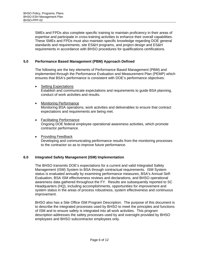SMEs and FPDs also complete specific training to maintain proficiency in their areas of expertise and participate in cross-training activities to enhance their overall capabilities. These SMEs and FPDs must also maintain specific knowledge regarding DOE general standards and requirements, site ES&H programs, and project design and ES&H requirements in accordance with BHSO procedures for qualifications certifications.

#### **5.0 Performance Based Management (PBM) Approach Defined**

The following are the key elements of Performance Based Management (PBM) and implemented through the Performance Evaluation and Measurement Plan (PEMP) which ensures that BSA's performance is consistent with DOE's performance objectives:

- Setting Expectations Establish and communicate expectations and requirements to guide BSA planning, conduct of work activities and results.
- Monitoring Performance Monitoring BSA operations, work activities and deliverables to ensure that contract expectations and requirements are being met.
- Facilitating Performance Ongoing DOE federal employee operational awareness activities, which promote contractor performance.
- Providing Feedback

Developing and communicating performance results from the monitoring processes to the contractor so as to improve future performance.

#### **6.0 Integrated Safety Management (ISM) Implementation**

The BHSO transmits DOE's expectations for a current and valid Integrated Safety Management (ISM) System to BSA through contractual requirements. ISM System status is evaluated annually by examining performance measures, BSA's Annual Self-Evaluation, BSA ISM effectiveness reviews and declarations, and BHSO operational awareness data gathered throughout the FY. Results are subsequently reported to SC Headquarters (HQ), including accomplishments, opportunities for improvement and system status in the areas of process robustness, system effectiveness and continuous improvement.

BHSO also has a Site Office ISM Program Description. The purpose of this document is to describe the integrated processes used by BHSO to meet the principles and functions of ISM and to ensure safety is integrated into all work activities. This program description addresses the safety processes used by and oversight provided by BHSO employees and BHSO subcontractor employees only.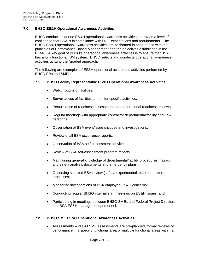## **7.0 BHSO ES&H Operational Awareness Activities**

BHSO conducts planned ES&H operational awareness activities to provide a level of confidence that BSA is in compliance with DOE expectations and requirements. The BHSO ES&H operational awareness activities are performed in accordance with the principles of Performance Based Management and the objectives established in the PEMP. A key goal of BHSO's operational awareness activities is to ensure that BSA has a fully functional ISM system. BHSO selects and conducts operational awareness activities utilizing the "graded approach."

The following are examples of ES&H operational awareness activities performed by BHSO FRs and SMEs:

#### **7.1 BHSO Facility Representative ES&H Operational Awareness Activities**

- Walkthroughs of facilities;
- Surveillances of facilities to monitor specific activities;
- Performance of readiness assessments and operational readiness reviews;
- Regular meetings with appropriate contractor departmental/facility and ES&H personnel;
- Observation of BSA event/issue critiques and investigations;
- Review of all BSA occurrence reports;
- Observation of BSA self-assessment activities;
- Review of BSA self-assessment program reports;
- Maintaining general knowledge of departmental/facility procedures, hazard and safety analysis documents and emergency plans;
- Observing selected BSA review (safety, experimental, etc.) committee processes;
- Monitoring investigations of BSA employee ES&H concerns;
- Conducting regular BHSO internal staff meetings on ES&H issues; and
- Participating in meetings between BHSO SMEs and Federal Project Directors and BSA ES&H management personnel.

#### **7.2 BHSO SME ES&H Operational Awareness Activities**

 Assessments – BHSO SME assessments are pre-planned, formal reviews of performance in a specific functional area or multiple functional areas within a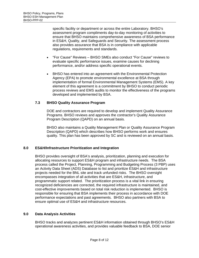specific facility or department or across the entire Laboratory. BHSO's assessment program compliments day-to-day monitoring of activities to ensure that BHSO maintains comprehensive awareness of BSA performance in ES&H, Quality, and Safeguards and Security. The assessment process also provides assurance that BSA is in compliance with applicable regulations, requirements and standards.

- "For Cause" Reviews BHSO SMEs also conduct "For Cause" reviews to evaluate specific performance issues, examine causes for declining performance, and/or address specific operational events.
- BHSO has entered into an agreement with the Environmental Protection Agency (EPA) to promote environmental excellence at BSA through implementation of formal Environmental Management Systems (EMS). A key element of this agreement is a commitment by BHSO to conduct periodic process reviews and EMS audits to monitor the effectiveness of the programs developed and implemented by BSA.

## **7.3 BHSO Quality Assurance Program**

DOE and contractors are required to develop and implement Quality Assurance Programs. BHSO reviews and approves the contractor's Quality Assurance Program Description (QAPD) on an annual basis.

BHSO also maintains a Quality Management Plan or Quality Assurance Program Description (QAPD) which describes how BHSO performs work and ensures quality. This plan has been approved by SC and is reviewed on an annual basis.

#### **8.0 ES&H/Infrastructure Prioritization and Integration**

BHSO provides oversight of BSA's analysis, prioritization, planning and execution for allocating resources to support ES&H program and infrastructure needs. The BSA process called the Project, Planning, Programming and Budgeting Process (3 PBP) uses an Activity Data Sheet (ADS) Database to list and prioritize ES&H and infrastructure projects needed for the BNL site and track unfunded risks. The BHSO oversight encompasses integration of all activities that are ES&H, infrastructure, and programmatic support related. The prioritization process is a vital link in ensuring recognized deficiencies are corrected, the required infrastructure is maintained, and cost-effective improvements based on total risk reduction is implemented. BHSO is responsible for ensuring that BSA implements their process in accordance with DOE performance expectations and past agreements. BHSO also partners with BSA to ensure optimal use of ES&H and infrastructure resources.

#### **9.0 Data Analysis Activities**

BHSO tracks and analyzes pertinent ES&H information obtained through BHSO's ES&H operational awareness activities, and provides valuable feedback to BSA, DOE senior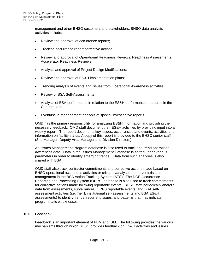management and other BHSO customers and stakeholders. BHSO data analysis activities include:

- Review and approval of occurrence reports;
- Tracking occurrence report corrective actions;
- Review and approval of Operational Readiness Reviews, Readiness Assessments, Accelerator Readiness Reviews;
- Analysis and approval of Project Design Modifications;
- Review and approval of ES&H implementation plans;
- Trending analysis of events and issues from Operational Awareness activities;
- Review of BSA Self-Assessments;
- Analysis of BSA performance in relation to the ES&H performance measures in the Contract; and
- Event/Issue management analysis of special investigative reports.

(Site Manager, Deputy Area Manager and Division Directors). OMD has the primary responsibility for analyzing ES&H information and providing the necessary feedback. OMD staff document their ES&H activities by providing input into a weekly report. The report documents key issues, occurrences and events, activities and information on facility status. A copy of this report is provided to the BHSO senior staff

An Issues Management Program database is also used to track and trend operational awareness data. Data in the Issues Management Database is sorted under various parameters in order to identify emerging trends. Data from such analyses is also shared with BSA.

OMD staff also track contractor commitments and corrective actions made based on BHSO operational awareness activities or critiques/analyses from events/issues management in the BSA Action Tracking System (ATS). The DOE Occurrence Reporting and Processing System (ORPS) database is also used to track commitments for corrective actions made following reportable events. BHSO staff periodically analyze data from assessments, surveillances, ORPS reportable events, and BSA selfassessment activities (i.e. Tier I, institutional self-assessments and BSA ES&H assessments) to identify trends, recurrent issues, and patterns that may indicate programmatic weaknesses.

#### **10.0 Feedback**

Feedback is an important element of PBM and ISM. The following provides the various mechanisms through which BHSO provides feedback on ES&H activities and issues.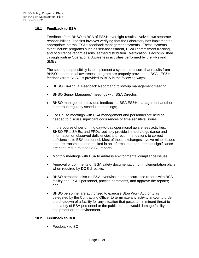#### **10.1 Feedback to BSA**

Feedback from BHSO to BSA of ES&H oversight results involves two separate responsibilities. The first involves verifying that the Laboratory has implemented appropriate internal ES&H feedback management systems. These systems might include programs such as self-assessment, ES&H commitment tracking, and occurrence report lessons learned distribution. Verification is accomplished through routine Operational Awareness activities performed by the FRs and SMEs.

The second responsibility is to implement a system to ensure that results from BHSO's operational awareness program are properly provided to BSA. ES&H feedback from BHSO is provided to BSA in the following ways:

- BHSO Tri-Annual Feedback Report and follow-up management meeting;
- BHSO Senior Managers' meetings with BSA Director;
- BHSO management provides feedback to BSA ES&H management at other numerous regularly scheduled meetings;
- For Cause meetings with BSA management and personnel are held as needed to discuss significant occurrences or time sensitive issues;
- In the course of performing day-to-day operational awareness activities, BHSO FRs, SMEs, and FPDs routinely provide immediate guidance and information on observed deficiencies and recommendations to correct deficiencies to BSA personnel. Most of these exchanges involve minor issues and are transmitted and tracked in an informal manner. Items of significance are captured in routine BHSO reports.
- Monthly meetings with BSA to address environmental compliance issues;
- Approval or comments on BSA safety documentation or implementation plans when required by DOE directive;
- BHSO personnel discuss BSA event/issue and occurrence reports with BSA facility and ES&H personnel, provide comments, and approve the reports; and
- BHSO personnel are authorized to exercise Stop Work Authority as delegated by the Contracting Officer to terminate any activity and/or to order the shutdown of a facility for any situation that poses an imminent threat to the safety of BSA personnel or the public, or that would damage facility equipment or the environment.

#### **10.2 Feedback to DOE**

Feedback to SC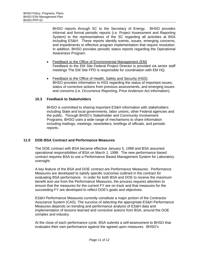and impediments to effective program implementation that require resolution. BHSO reports through SC to the Secretary of Energy. BHSO provides informal and formal periodic reports (i.e. Project Assessment and Reporting System) to the representatives of the SC regarding all activities at BSA including ES&H. These reports identify events, issues, emerging concerns, In addition, BHSO provides periodic status reports regarding the Operational Awareness Program.

- Feedback to the Office of Environmental Management (EM) Feedback to the EM Site Federal Project Director is provided via senior staff meetings The EM Site FPD is responsible for coordination with EM HQ.
- Feedback to the Office of Health, Safety and Security (HSS) BHSO provides information to HSS regarding the status of important issues, status of corrective actions from previous assessments, and emerging issues and concerns (i.e. Occurrence Reporting, Price Anderson Act information).

#### **10.3 Feedback to Stakeholders**

BHSO is committed to sharing important ES&H information with stakeholders including State and local governments, labor unions, other Federal agencies and the public. Through BHSO's Stakeholder and Community Involvement Programs, BHSO uses a wide range of mechanisms to share information including mailings, meetings, newsletters, briefings of officials, and periodic reports.

#### **11.0 DOE-BSA Contract and Performance Measures**

The DOE contract with BSA became effective January 5, 1998 and BSA assumed operational responsibilities of BSA on March 1, 1998. The new performance based contract requires BSA to use a Performance Based Management System for Laboratory oversight.

A key feature of the BSA and DOE contract are Performance Measures. Performance Measures are developed to satisfy specific outcomes outlined in the contract for evaluating BSA performance. In order for both BSA and DOE to receive the maximum benefit and use from the Performance Measures, the process requires attention to ensure that the measures for the current FY are on track and that measures for the succeeding FY are developed to reflect DOE's goals and objectives.

ES&H Performance Measures currently constitute a major portion of the Contractor Assurance System (CAS). The success of selecting the appropriate ES&H Performance Measures depends on trending and performance analysis of ES&H data and implementation of lessons learned and corrective actions from BSA, around the DOE complex and industry.

At the close of each performance cycle, BSA submits a self-assessment to BHSO that evaluates their own performance against the agreed upon measures. BHSO's